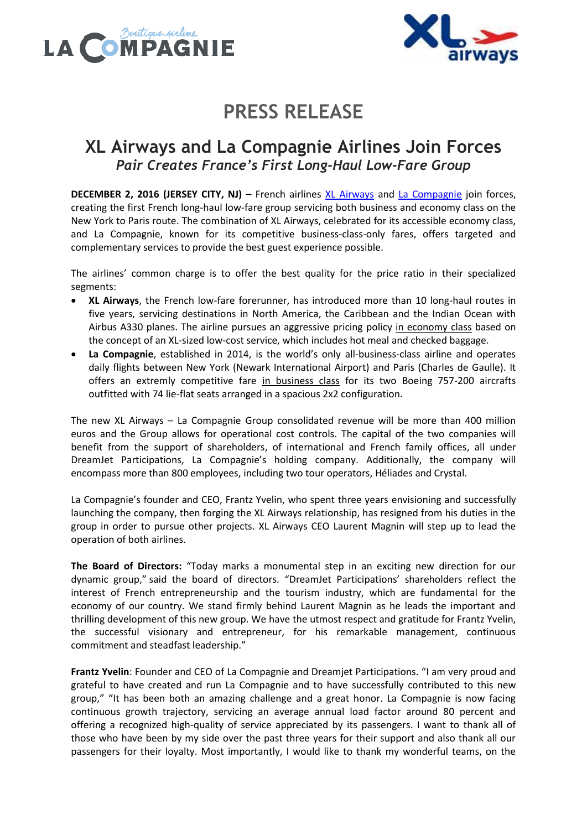



# **PRESS RELEASE**

### **XL Airways and La Compagnie Airlines Join Forces** *Pair Creates France's First Long-Haul Low-Fare Group*

**DECEMBER 2, 2016 (JERSEY CITY, NJ)** – French airlines [XL Airways](http://www.xl.com/us/) and [La Compagnie](https://www.lacompagnie.com/en) join forces, creating the first French long-haul low-fare group servicing both business and economy class on the New York to Paris route. The combination of XL Airways, celebrated for its accessible economy class, and La Compagnie, known for its competitive business-class-only fares, offers targeted and complementary services to provide the best guest experience possible.

The airlines' common charge is to offer the best quality for the price ratio in their specialized segments:

- **XL Airways**, the French low-fare forerunner, has introduced more than 10 long-haul routes in five years, servicing destinations in North America, the Caribbean and the Indian Ocean with Airbus A330 planes. The airline pursues an aggressive pricing policy in economy class based on the concept of an XL-sized low-cost service, which includes hot meal and checked baggage.
- **La Compagnie**, established in 2014, is the world's only all-business-class airline and operates daily flights between New York (Newark International Airport) and Paris (Charles de Gaulle). It offers an extremly competitive fare in business class for its two Boeing 757-200 aircrafts outfitted with 74 lie-flat seats arranged in a spacious 2x2 configuration.

The new XL Airways – La Compagnie Group consolidated revenue will be more than 400 million euros and the Group allows for operational cost controls. The capital of the two companies will benefit from the support of shareholders, of international and French family offices, all under DreamJet Participations, La Compagnie's holding company. Additionally, the company will encompass more than 800 employees, including two tour operators, Héliades and Crystal.

La Compagnie's founder and CEO, Frantz Yvelin, who spent three years envisioning and successfully launching the company, then forging the XL Airways relationship, has resigned from his duties in the group in order to pursue other projects. XL Airways CEO Laurent Magnin will step up to lead the operation of both airlines.

**The Board of Directors:** "Today marks a monumental step in an exciting new direction for our dynamic group," said the board of directors. "DreamJet Participations' shareholders reflect the interest of French entrepreneurship and the tourism industry, which are fundamental for the economy of our country. We stand firmly behind Laurent Magnin as he leads the important and thrilling development of this new group. We have the utmost respect and gratitude for Frantz Yvelin, the successful visionary and entrepreneur, for his remarkable management, continuous commitment and steadfast leadership."

**Frantz Yvelin**: Founder and CEO of La Compagnie and Dreamjet Participations. "I am very proud and grateful to have created and run La Compagnie and to have successfully contributed to this new group," "It has been both an amazing challenge and a great honor. La Compagnie is now facing continuous growth trajectory, servicing an average annual load factor around 80 percent and offering a recognized high-quality of service appreciated by its passengers. I want to thank all of those who have been by my side over the past three years for their support and also thank all our passengers for their loyalty. Most importantly, I would like to thank my wonderful teams, on the